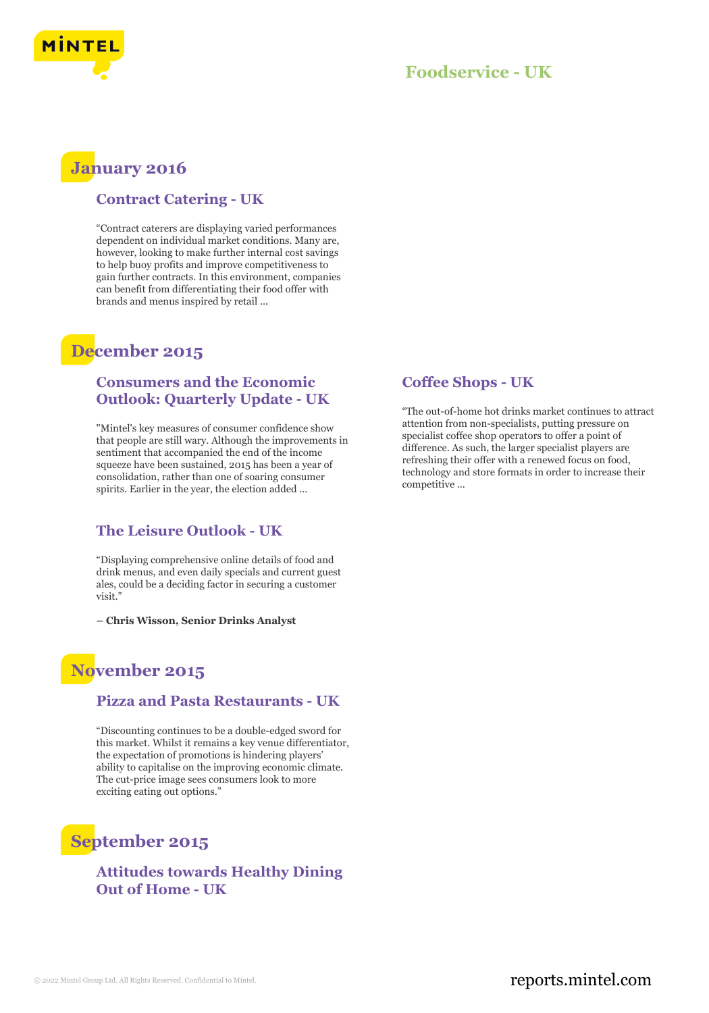

## **January 2016**

### **Contract Catering - UK**

"Contract caterers are displaying varied performances dependent on individual market conditions. Many are, however, looking to make further internal cost savings to help buoy profits and improve competitiveness to gain further contracts. In this environment, companies can benefit from differentiating their food offer with brands and menus inspired by retail ...

# **December 2015**

### **Consumers and the Economic Outlook: Quarterly Update - UK**

"Mintel's key measures of consumer confidence show that people are still wary. Although the improvements in sentiment that accompanied the end of the income squeeze have been sustained, 2015 has been a year of consolidation, rather than one of soaring consumer spirits. Earlier in the year, the election added ...

### **The Leisure Outlook - UK**

"Displaying comprehensive online details of food and drink menus, and even daily specials and current guest ales, could be a deciding factor in securing a customer visit."

**– Chris Wisson, Senior Drinks Analyst**

# **November 2015**

### **Pizza and Pasta Restaurants - UK**

"Discounting continues to be a double-edged sword for this market. Whilst it remains a key venue differentiator, the expectation of promotions is hindering players' ability to capitalise on the improving economic climate. The cut-price image sees consumers look to more exciting eating out options."

# **September 2015**

### **Attitudes towards Healthy Dining Out of Home - UK**

### **Coffee Shops - UK**

"The out-of-home hot drinks market continues to attract attention from non-specialists, putting pressure on specialist coffee shop operators to offer a point of difference. As such, the larger specialist players are refreshing their offer with a renewed focus on food, technology and store formats in order to increase their competitive ...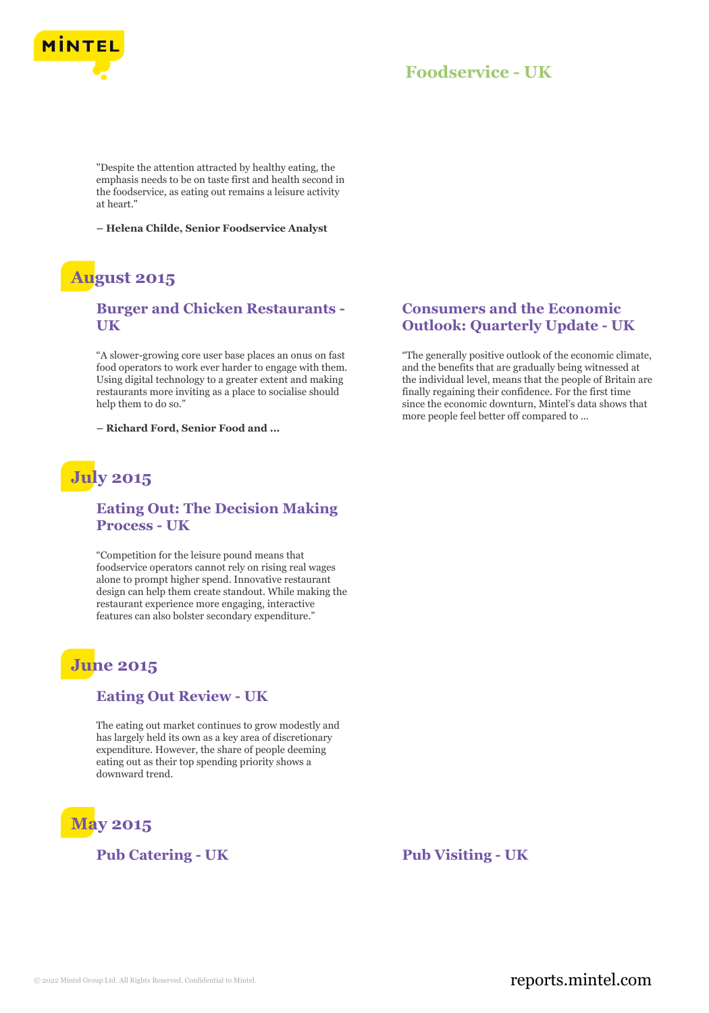

"Despite the attention attracted by healthy eating, the emphasis needs to be on taste first and health second in the foodservice, as eating out remains a leisure activity at heart."

**– Helena Childe, Senior Foodservice Analyst**

# **August 2015**

### **Burger and Chicken Restaurants - UK**

"A slower-growing core user base places an onus on fast food operators to work ever harder to engage with them. Using digital technology to a greater extent and making restaurants more inviting as a place to socialise should help them to do so."

**– Richard Ford, Senior Food and ...**

# **July 2015**

### **Eating Out: The Decision Making Process - UK**

"Competition for the leisure pound means that foodservice operators cannot rely on rising real wages alone to prompt higher spend. Innovative restaurant design can help them create standout. While making the restaurant experience more engaging, interactive features can also bolster secondary expenditure."

# **June 2015**

### **Eating Out Review - UK**

The eating out market continues to grow modestly and has largely held its own as a key area of discretionary expenditure. However, the share of people deeming eating out as their top spending priority shows a downward trend.



### **Consumers and the Economic Outlook: Quarterly Update - UK**

"The generally positive outlook of the economic climate, and the benefits that are gradually being witnessed at the individual level, means that the people of Britain are finally regaining their confidence. For the first time since the economic downturn, Mintel's data shows that more people feel better off compared to ...

**Pub Catering - UK Pub Visiting - UK**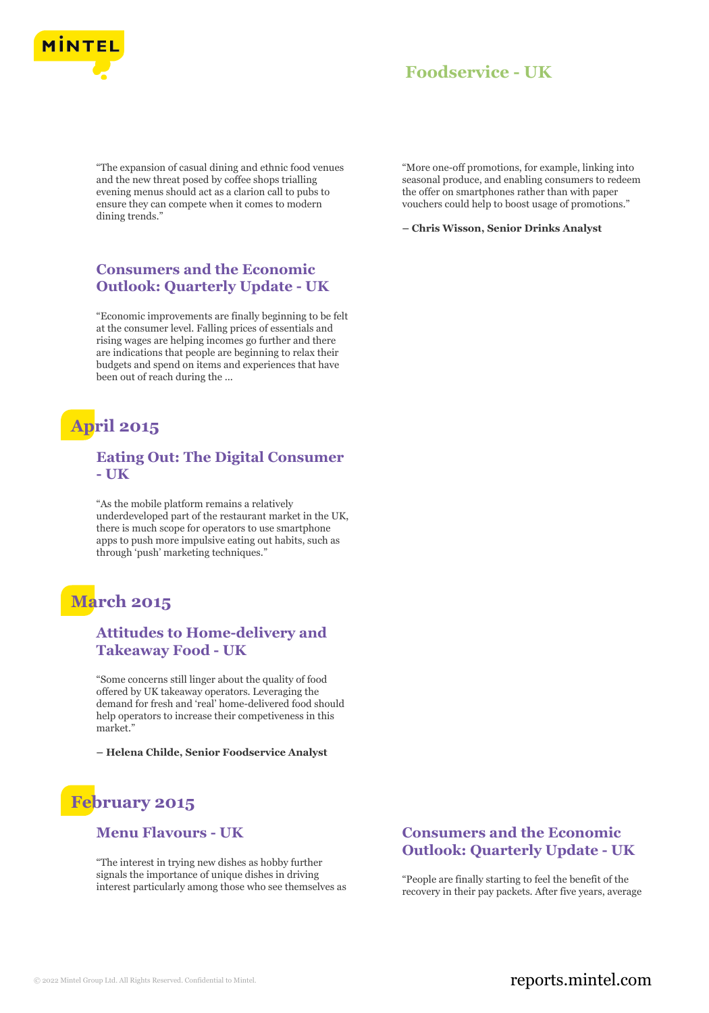

"The expansion of casual dining and ethnic food venues and the new threat posed by coffee shops trialling evening menus should act as a clarion call to pubs to ensure they can compete when it comes to modern dining trends."

### **Consumers and the Economic Outlook: Quarterly Update - UK**

"Economic improvements are finally beginning to be felt at the consumer level. Falling prices of essentials and rising wages are helping incomes go further and there are indications that people are beginning to relax their budgets and spend on items and experiences that have been out of reach during the ...

# **April 2015**

### **Eating Out: The Digital Consumer - UK**

"As the mobile platform remains a relatively underdeveloped part of the restaurant market in the UK, there is much scope for operators to use smartphone apps to push more impulsive eating out habits, such as through 'push' marketing techniques."

# **March 2015**

### **Attitudes to Home-delivery and Takeaway Food - UK**

"Some concerns still linger about the quality of food offered by UK takeaway operators. Leveraging the demand for fresh and 'real' home-delivered food should help operators to increase their competiveness in this market."

**– Helena Childe, Senior Foodservice Analyst**

# **February 2015**

### **Menu Flavours - UK**

"The interest in trying new dishes as hobby further signals the importance of unique dishes in driving interest particularly among those who see themselves as "More one-off promotions, for example, linking into seasonal produce, and enabling consumers to redeem the offer on smartphones rather than with paper vouchers could help to boost usage of promotions."

**– Chris Wisson, Senior Drinks Analyst**

### **Consumers and the Economic Outlook: Quarterly Update - UK**

"People are finally starting to feel the benefit of the recovery in their pay packets. After five years, average

### © 2022 Mintel Group Ltd. All Rights Reserved. Confidential to Mintel.  $\blacksquare$  reports.mintel.com